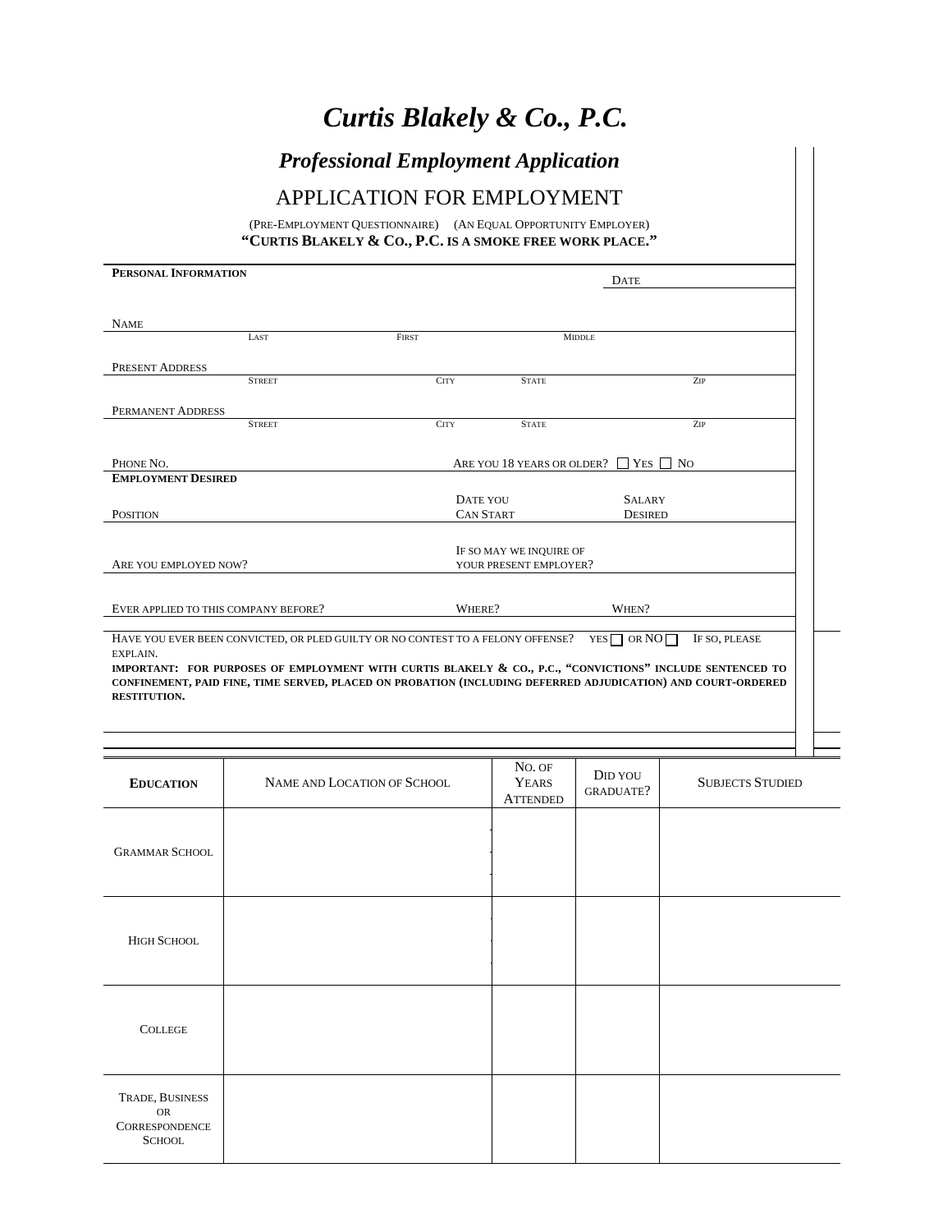# *Curtis Blakely & Co., P.C.*

## *Professional Employment Application*

## APPLICATION FOR EMPLOYMENT

(PRE-EMPLOYMENT QUESTIONNAIRE) (AN EQUAL OPPORTUNITY EMPLOYER) **"CURTIS BLAKELY & CO., P.C. IS A SMOKE FREE WORK PLACE."** 

| PERSONAL INFORMATION                                                                                                                                                                                                                                                                                                     |                                                   |               | <b>DATE</b>                                     |  |
|--------------------------------------------------------------------------------------------------------------------------------------------------------------------------------------------------------------------------------------------------------------------------------------------------------------------------|---------------------------------------------------|---------------|-------------------------------------------------|--|
|                                                                                                                                                                                                                                                                                                                          |                                                   |               |                                                 |  |
| <b>NAME</b>                                                                                                                                                                                                                                                                                                              |                                                   |               |                                                 |  |
| LAST                                                                                                                                                                                                                                                                                                                     | <b>FIRST</b>                                      | <b>MIDDLE</b> |                                                 |  |
| <b>PRESENT ADDRESS</b>                                                                                                                                                                                                                                                                                                   |                                                   |               |                                                 |  |
| <b>STREET</b>                                                                                                                                                                                                                                                                                                            | <b>CITY</b>                                       | <b>STATE</b>  | ZIP                                             |  |
| PERMANENT ADDRESS                                                                                                                                                                                                                                                                                                        |                                                   |               |                                                 |  |
| <b>STREET</b>                                                                                                                                                                                                                                                                                                            | <b>CITY</b>                                       | <b>STATE</b>  | ZIP                                             |  |
|                                                                                                                                                                                                                                                                                                                          |                                                   |               |                                                 |  |
| PHONE NO.                                                                                                                                                                                                                                                                                                                |                                                   |               | ARE YOU 18 YEARS OR OLDER? $\Box$ YES $\Box$ NO |  |
| <b>EMPLOYMENT DESIRED</b>                                                                                                                                                                                                                                                                                                |                                                   |               |                                                 |  |
|                                                                                                                                                                                                                                                                                                                          | DATE YOU                                          |               | <b>SALARY</b>                                   |  |
| <b>POSITION</b>                                                                                                                                                                                                                                                                                                          | <b>CAN START</b>                                  |               | <b>DESIRED</b>                                  |  |
|                                                                                                                                                                                                                                                                                                                          |                                                   |               |                                                 |  |
| ARE YOU EMPLOYED NOW?                                                                                                                                                                                                                                                                                                    | IF SO MAY WE INQUIRE OF<br>YOUR PRESENT EMPLOYER? |               |                                                 |  |
|                                                                                                                                                                                                                                                                                                                          |                                                   |               |                                                 |  |
| EVER APPLIED TO THIS COMPANY BEFORE?                                                                                                                                                                                                                                                                                     | WHERE?                                            |               | WHEN?                                           |  |
|                                                                                                                                                                                                                                                                                                                          |                                                   |               |                                                 |  |
| HAVE YOU EVER BEEN CONVICTED, OR PLED GUILTY OR NO CONTEST TO A FELONY OFFENSE?<br>EXPLAIN.<br>IMPORTANT: FOR PURPOSES OF EMPLOYMENT WITH CURTIS BLAKELY & CO., P.C., "CONVICTIONS" INCLUDE SENTENCED TO<br>CONFINEMENT, PAID FINE, TIME SERVED, PLACED ON PROBATION (INCLUDING DEFERRED ADJUDICATION) AND COURT-ORDERED |                                                   |               | $YES \Box$ OR NO $\Box$<br>IF SO, PLEASE        |  |
| <b>RESTITUTION.</b>                                                                                                                                                                                                                                                                                                      |                                                   |               |                                                 |  |
|                                                                                                                                                                                                                                                                                                                          |                                                   |               |                                                 |  |

| <b>EDUCATION</b>                                               | NAME AND LOCATION OF SCHOOL | No. OF<br>YEARS<br><b>ATTENDED</b> | DID YOU<br>GRADUATE? | <b>SUBJECTS STUDIED</b> |
|----------------------------------------------------------------|-----------------------------|------------------------------------|----------------------|-------------------------|
| <b>GRAMMAR SCHOOL</b>                                          |                             |                                    |                      |                         |
| <b>HIGH SCHOOL</b>                                             |                             |                                    |                      |                         |
| <b>COLLEGE</b>                                                 |                             |                                    |                      |                         |
| TRADE, BUSINESS<br>$\rm OR$<br>CORRESPONDENCE<br><b>SCHOOL</b> |                             |                                    |                      |                         |

┨┝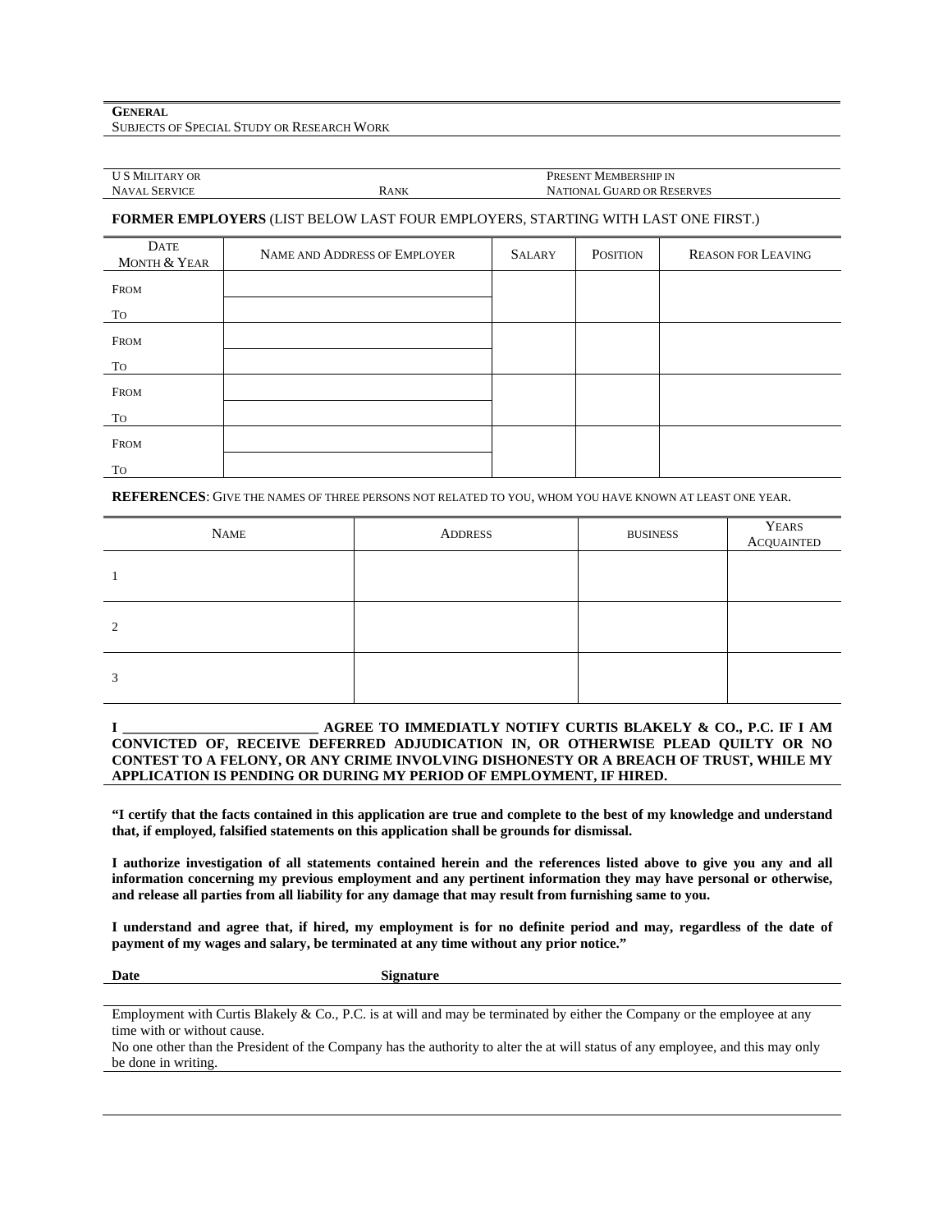| <b>U S MILITARY OR</b> |      | PRESENT MEMBERSHIP IN             |
|------------------------|------|-----------------------------------|
| <b>NAVAL SERVICE</b>   | Rank | <b>NATIONAL GUARD OR RESERVES</b> |
|                        |      |                                   |

### **FORMER EMPLOYERS** (LIST BELOW LAST FOUR EMPLOYERS, STARTING WITH LAST ONE FIRST.)

| DATE<br>MONTH & YEAR | NAME AND ADDRESS OF EMPLOYER | <b>SALARY</b> | <b>POSITION</b> | <b>REASON FOR LEAVING</b> |
|----------------------|------------------------------|---------------|-----------------|---------------------------|
| <b>FROM</b>          |                              |               |                 |                           |
| TO                   |                              |               |                 |                           |
| FROM                 |                              |               |                 |                           |
| To                   |                              |               |                 |                           |
| <b>FROM</b>          |                              |               |                 |                           |
| To                   |                              |               |                 |                           |
| FROM                 |                              |               |                 |                           |
| To                   |                              |               |                 |                           |

**REFERENCES**: GIVE THE NAMES OF THREE PERSONS NOT RELATED TO YOU, WHOM YOU HAVE KNOWN AT LEAST ONE YEAR.

| <b>NAME</b> | <b>ADDRESS</b> | <b>BUSINESS</b> | YEARS<br>ACQUAINTED |
|-------------|----------------|-----------------|---------------------|
|             |                |                 |                     |
| $\gamma$    |                |                 |                     |
| 3           |                |                 |                     |

### **I \_\_\_\_\_\_\_\_\_\_\_\_\_\_\_\_\_\_\_\_\_\_\_\_\_\_\_\_ AGREE TO IMMEDIATLY NOTIFY CURTIS BLAKELY & CO., P.C. IF I AM CONVICTED OF, RECEIVE DEFERRED ADJUDICATION IN, OR OTHERWISE PLEAD QUILTY OR NO CONTEST TO A FELONY, OR ANY CRIME INVOLVING DISHONESTY OR A BREACH OF TRUST, WHILE MY APPLICATION IS PENDING OR DURING MY PERIOD OF EMPLOYMENT, IF HIRED.**

**"I certify that the facts contained in this application are true and complete to the best of my knowledge and understand that, if employed, falsified statements on this application shall be grounds for dismissal.** 

**I authorize investigation of all statements contained herein and the references listed above to give you any and all information concerning my previous employment and any pertinent information they may have personal or otherwise, and release all parties from all liability for any damage that may result from furnishing same to you.** 

**I understand and agree that, if hired, my employment is for no definite period and may, regardless of the date of payment of my wages and salary, be terminated at any time without any prior notice."** 

Date Signature

Employment with Curtis Blakely & Co., P.C. is at will and may be terminated by either the Company or the employee at any time with or without cause.

No one other than the President of the Company has the authority to alter the at will status of any employee, and this may only be done in writing.